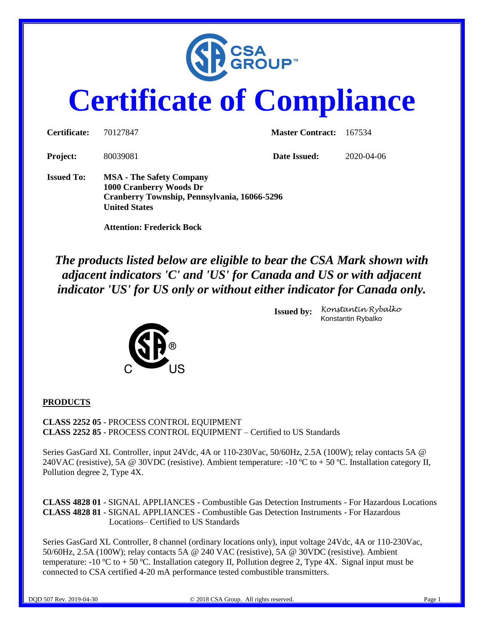

# **Certificate of Compliance**

| Certificate:      | 70127847                                                                                                                                                               | <b>Master Contract:</b> | 167534     |
|-------------------|------------------------------------------------------------------------------------------------------------------------------------------------------------------------|-------------------------|------------|
| <b>Project:</b>   | 80039081                                                                                                                                                               | Date Issued:            | 2020-04-06 |
| <b>Issued To:</b> | <b>MSA</b> - The Safety Company<br>1000 Cranberry Woods Dr<br>Cranberry Township, Pennsylvania, 16066-5296<br><b>United States</b><br><b>Attention: Frederick Bock</b> |                         |            |

*The products listed below are eligible to bear the CSA Mark shown with adjacent indicators 'C' and 'US' for Canada and US or with adjacent indicator 'US' for US only or without either indicator for Canada only.*



**Issued by:** *Konstantin Rybalko* Konstantin Rybalko

#### **PRODUCTS**

**CLASS 2252 05** - PROCESS CONTROL EQUIPMENT **CLASS 2252 85** - PROCESS CONTROL EQUIPMENT – Certified to US Standards

Series GasGard XL Controller, input 24Vdc, 4A or 110-230Vac, 50/60Hz, 2.5A (100W); relay contacts 5A @ 240VAC (resistive), 5A @ 30VDC (resistive). Ambient temperature: -10 °C to + 50 °C. Installation category II, Pollution degree 2, Type 4X.

**CLASS 4828 01** - SIGNAL APPLIANCES - Combustible Gas Detection Instruments - For Hazardous Locations **CLASS 4828 81** - SIGNAL APPLIANCES - Combustible Gas Detection Instruments - For Hazardous Locations– Certified to US Standards

Series GasGard XL Controller, 8 channel (ordinary locations only), input voltage 24Vdc, 4A or 110-230Vac, 50/60Hz, 2.5A (100W); relay contacts 5A @ 240 VAC (resistive), 5A @ 30VDC (resistive). Ambient temperature:  $-10^{\circ}\text{C}$  to  $+50^{\circ}\text{C}$ . Installation category II, Pollution degree 2, Type 4X. Signal input must be connected to CSA certified 4-20 mA performance tested combustible transmitters.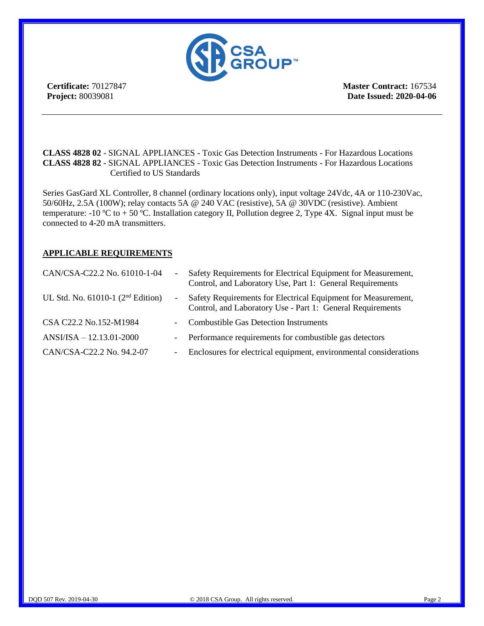

**Certificate:** 70127847 **Project:** 80039081

**Master Contract:** 167534 **Date Issued: 2020-04-06**

**CLASS 4828 02** - SIGNAL APPLIANCES - Toxic Gas Detection Instruments - For Hazardous Locations **CLASS 4828 82** - SIGNAL APPLIANCES - Toxic Gas Detection Instruments - For Hazardous Locations Certified to US Standards

Series GasGard XL Controller, 8 channel (ordinary locations only), input voltage 24Vdc, 4A or 110-230Vac, 50/60Hz, 2.5A (100W); relay contacts 5A @ 240 VAC (resistive), 5A @ 30VDC (resistive). Ambient temperature:  $-10 \degree C$  to  $+ 50 \degree C$ . Installation category II, Pollution degree 2, Type 4X. Signal input must be connected to 4-20 mA transmitters.

#### **APPLICABLE REQUIREMENTS**

| CAN/CSA-C22.2 No. 61010-1-04           | $\sim$                   | Safety Requirements for Electrical Equipment for Measurement,<br>Control, and Laboratory Use, Part 1: General Requirements  |
|----------------------------------------|--------------------------|-----------------------------------------------------------------------------------------------------------------------------|
| UL Std. No. $61010-1$ ( $2nd$ Edition) | $\overline{\phantom{a}}$ | Safety Requirements for Electrical Equipment for Measurement,<br>Control, and Laboratory Use - Part 1: General Requirements |
| CSA C22.2 No.152-M1984                 | $\sim$                   | <b>Combustible Gas Detection Instruments</b>                                                                                |
| $ANSI/ISA - 12.13.01 - 2000$           | $\sim$ $-$               | Performance requirements for combustible gas detectors                                                                      |
| CAN/CSA-C22.2 No. 94.2-07              | $\overline{\phantom{a}}$ | Enclosures for electrical equipment, environmental considerations                                                           |